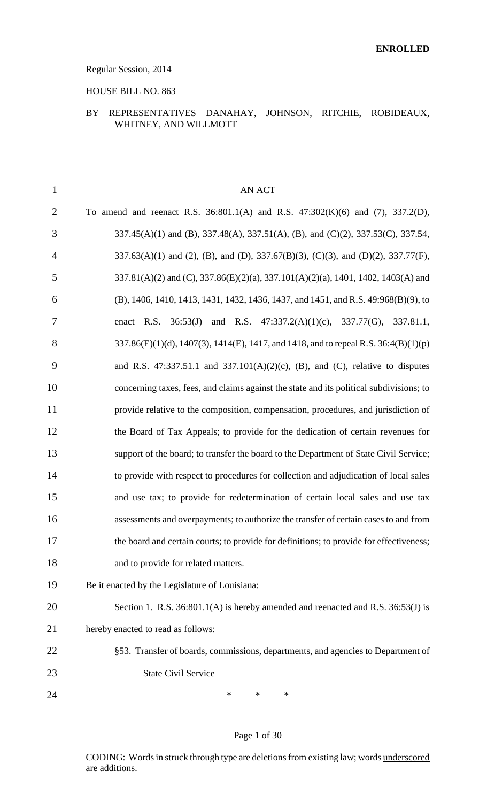#### Regular Session, 2014

#### HOUSE BILL NO. 863

#### BY REPRESENTATIVES DANAHAY, JOHNSON, RITCHIE, ROBIDEAUX, WHITNEY, AND WILLMOTT

| $\mathbf{1}$   | AN ACT                                                                                   |
|----------------|------------------------------------------------------------------------------------------|
| $\overline{2}$ | To amend and reenact R.S. $36:801.1(A)$ and R.S. $47:302(K)(6)$ and $(7)$ , $337.2(D)$ , |
| 3              | 337.45(A)(1) and (B), 337.48(A), 337.51(A), (B), and (C)(2), 337.53(C), 337.54,          |
| $\overline{4}$ | 337.63(A)(1) and (2), (B), and (D), 337.67(B)(3), (C)(3), and (D)(2), 337.77(F),         |
| 5              | 337.81(A)(2) and (C), 337.86(E)(2)(a), 337.101(A)(2)(a), 1401, 1402, 1403(A) and         |
| 6              | (B), 1406, 1410, 1413, 1431, 1432, 1436, 1437, and 1451, and R.S. 49:968(B)(9), to       |
| 7              | enact R.S. $36:53(J)$ and R.S. $47:337.2(A)(1)(c)$ , $337.77(G)$ ,<br>337.81.1,          |
| 8              | 337.86(E)(1)(d), 1407(3), 1414(E), 1417, and 1418, and to repeal R.S. 36:4(B)(1)(p)      |
| 9              | and R.S. 47:337.51.1 and 337.101(A)(2)(c), (B), and (C), relative to disputes            |
| 10             | concerning taxes, fees, and claims against the state and its political subdivisions; to  |
| 11             | provide relative to the composition, compensation, procedures, and jurisdiction of       |
| 12             | the Board of Tax Appeals; to provide for the dedication of certain revenues for          |
| 13             | support of the board; to transfer the board to the Department of State Civil Service;    |
| 14             | to provide with respect to procedures for collection and adjudication of local sales     |
| 15             | and use tax; to provide for redetermination of certain local sales and use tax           |
| 16             | assessments and overpayments; to authorize the transfer of certain cases to and from     |
| 17             | the board and certain courts; to provide for definitions; to provide for effectiveness;  |
| 18             | and to provide for related matters.                                                      |
| 19             | Be it enacted by the Legislature of Louisiana:                                           |
| 20             | Section 1. R.S. 36:801.1(A) is hereby amended and reenacted and R.S. 36:53(J) is         |
| 21             | hereby enacted to read as follows:                                                       |
| 22             | §53. Transfer of boards, commissions, departments, and agencies to Department of         |
| 23             | <b>State Civil Service</b>                                                               |
| 24             | *<br>*<br>*                                                                              |

#### Page 1 of 30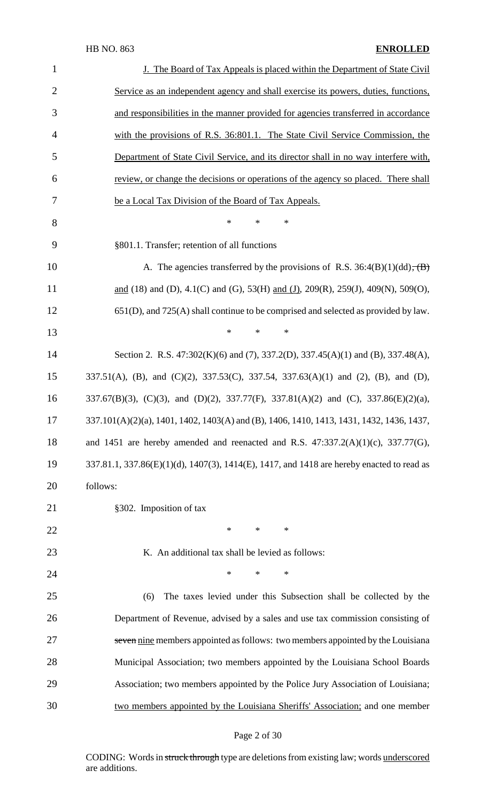| $\mathbf{1}$   | J. The Board of Tax Appeals is placed within the Department of State Civil                |  |  |  |
|----------------|-------------------------------------------------------------------------------------------|--|--|--|
| $\overline{2}$ | Service as an independent agency and shall exercise its powers, duties, functions,        |  |  |  |
| 3              | and responsibilities in the manner provided for agencies transferred in accordance        |  |  |  |
| $\overline{4}$ | with the provisions of R.S. 36:801.1. The State Civil Service Commission, the             |  |  |  |
| 5              | Department of State Civil Service, and its director shall in no way interfere with,       |  |  |  |
| 6              | review, or change the decisions or operations of the agency so placed. There shall        |  |  |  |
| $\overline{7}$ | be a Local Tax Division of the Board of Tax Appeals.                                      |  |  |  |
| 8              | *<br>∗<br>∗                                                                               |  |  |  |
| 9              | §801.1. Transfer; retention of all functions                                              |  |  |  |
| 10             | A. The agencies transferred by the provisions of R.S. $36:4(B)(1)(dd)$ , $(B)$            |  |  |  |
| 11             | and (18) and (D), 4.1(C) and (G), 53(H) and (J), 209(R), 259(J), 409(N), 509(O),          |  |  |  |
| 12             | $651(D)$ , and $725(A)$ shall continue to be comprised and selected as provided by law.   |  |  |  |
| 13             | *<br>∗<br>∗                                                                               |  |  |  |
| 14             | Section 2. R.S. 47:302(K)(6) and (7), 337.2(D), 337.45(A)(1) and (B), 337.48(A),          |  |  |  |
| 15             | 337.51(A), (B), and (C)(2), 337.53(C), 337.54, 337.63(A)(1) and (2), (B), and (D),        |  |  |  |
| 16             | 337.67(B)(3), (C)(3), and (D)(2), 337.77(F), 337.81(A)(2) and (C), 337.86(E)(2)(a),       |  |  |  |
| 17             | 337.101(A)(2)(a), 1401, 1402, 1403(A) and (B), 1406, 1410, 1413, 1431, 1432, 1436, 1437,  |  |  |  |
| 18             | and 1451 are hereby amended and reenacted and R.S. $47:337.2(A)(1)(c)$ , $337.77(G)$ ,    |  |  |  |
| 19             | 337.81.1, 337.86(E)(1)(d), 1407(3), 1414(E), 1417, and 1418 are hereby enacted to read as |  |  |  |
| 20             | follows:                                                                                  |  |  |  |
| 21             | §302. Imposition of tax                                                                   |  |  |  |
| 22             | $\ast$<br>$\ast$<br>∗                                                                     |  |  |  |
| 23             | K. An additional tax shall be levied as follows:                                          |  |  |  |
| 24             | $\ast$<br>$\ast$<br>*                                                                     |  |  |  |
| 25             | The taxes levied under this Subsection shall be collected by the<br>(6)                   |  |  |  |
| 26             | Department of Revenue, advised by a sales and use tax commission consisting of            |  |  |  |
| 27             | seven nine members appointed as follows: two members appointed by the Louisiana           |  |  |  |
| 28             | Municipal Association; two members appointed by the Louisiana School Boards               |  |  |  |
| 29             | Association; two members appointed by the Police Jury Association of Louisiana;           |  |  |  |
| 30             | two members appointed by the Louisiana Sheriffs' Association; and one member              |  |  |  |

# Page 2 of 30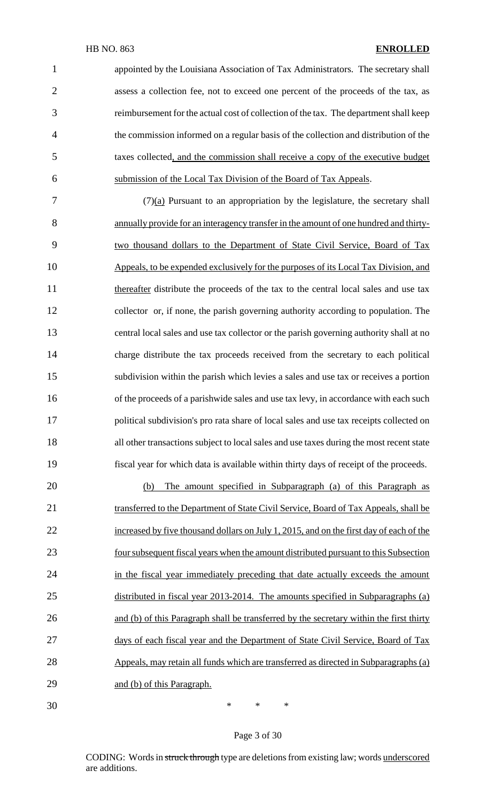appointed by the Louisiana Association of Tax Administrators. The secretary shall assess a collection fee, not to exceed one percent of the proceeds of the tax, as reimbursement for the actual cost of collection of the tax. The department shall keep the commission informed on a regular basis of the collection and distribution of the taxes collected, and the commission shall receive a copy of the executive budget submission of the Local Tax Division of the Board of Tax Appeals.

 $7 \frac{(7)(a)}{2}$  Pursuant to an appropriation by the legislature, the secretary shall annually provide for an interagency transfer in the amount of one hundred and thirty- two thousand dollars to the Department of State Civil Service, Board of Tax Appeals, to be expended exclusively for the purposes of its Local Tax Division, and 11 thereafter distribute the proceeds of the tax to the central local sales and use tax collector or, if none, the parish governing authority according to population. The central local sales and use tax collector or the parish governing authority shall at no charge distribute the tax proceeds received from the secretary to each political subdivision within the parish which levies a sales and use tax or receives a portion 16 of the proceeds of a parishwide sales and use tax levy, in accordance with each such political subdivision's pro rata share of local sales and use tax receipts collected on all other transactions subject to local sales and use taxes during the most recent state fiscal year for which data is available within thirty days of receipt of the proceeds.

 (b) The amount specified in Subparagraph (a) of this Paragraph as 21 transferred to the Department of State Civil Service, Board of Tax Appeals, shall be 22 increased by five thousand dollars on July 1, 2015, and on the first day of each of the foursubsequent fiscal years when the amount distributed pursuant to this Subsection 24 in the fiscal year immediately preceding that date actually exceeds the amount distributed in fiscal year 2013-2014. The amounts specified in Subparagraphs (a) and (b) of this Paragraph shall be transferred by the secretary within the first thirty days of each fiscal year and the Department of State Civil Service, Board of Tax Appeals, may retain all funds which are transferred as directed in Subparagraphs (a) 29 and (b) of this Paragraph.

\* \* \*

#### Page 3 of 30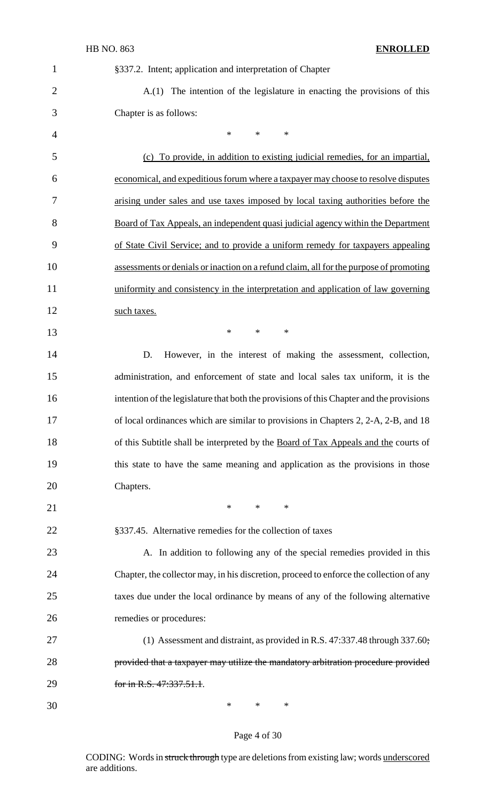| $\mathbf{1}$   | §337.2. Intent; application and interpretation of Chapter                                |  |  |
|----------------|------------------------------------------------------------------------------------------|--|--|
| $\overline{2}$ | A.(1) The intention of the legislature in enacting the provisions of this                |  |  |
| 3              | Chapter is as follows:                                                                   |  |  |
| $\overline{4}$ | $\ast$<br>$\ast$<br>$\ast$                                                               |  |  |
| 5              | (c) To provide, in addition to existing judicial remedies, for an impartial,             |  |  |
| 6              | economical, and expeditious forum where a taxpayer may choose to resolve disputes        |  |  |
| 7              | arising under sales and use taxes imposed by local taxing authorities before the         |  |  |
| 8              | Board of Tax Appeals, an independent quasi judicial agency within the Department         |  |  |
| 9              | of State Civil Service; and to provide a uniform remedy for taxpayers appealing          |  |  |
| 10             | assessments or denials or inaction on a refund claim, all for the purpose of promoting   |  |  |
| 11             | uniformity and consistency in the interpretation and application of law governing        |  |  |
| 12             | such taxes.                                                                              |  |  |
| 13             | $\ast$<br>$\ast$<br>$\ast$                                                               |  |  |
| 14             | However, in the interest of making the assessment, collection,<br>D.                     |  |  |
| 15             | administration, and enforcement of state and local sales tax uniform, it is the          |  |  |
| 16             | intention of the legislature that both the provisions of this Chapter and the provisions |  |  |
| 17             | of local ordinances which are similar to provisions in Chapters 2, 2-A, 2-B, and 18      |  |  |
| 18             | of this Subtitle shall be interpreted by the Board of Tax Appeals and the courts of      |  |  |
| 19             | this state to have the same meaning and application as the provisions in those           |  |  |
| 20             | Chapters.                                                                                |  |  |
| 21             | $\ast$<br>$\ast$<br>$\ast$                                                               |  |  |
| 22             | §337.45. Alternative remedies for the collection of taxes                                |  |  |
| 23             | A. In addition to following any of the special remedies provided in this                 |  |  |
| 24             | Chapter, the collector may, in his discretion, proceed to enforce the collection of any  |  |  |
| 25             | taxes due under the local ordinance by means of any of the following alternative         |  |  |
| 26             | remedies or procedures:                                                                  |  |  |
| 27             | (1) Assessment and distraint, as provided in R.S. 47:337.48 through 337.60;              |  |  |
| 28             | provided that a taxpayer may utilize the mandatory arbitration procedure provided        |  |  |
| 29             | for in R.S. 47:337.51.1.                                                                 |  |  |
| 30             | *<br>*<br>∗                                                                              |  |  |

# Page 4 of 30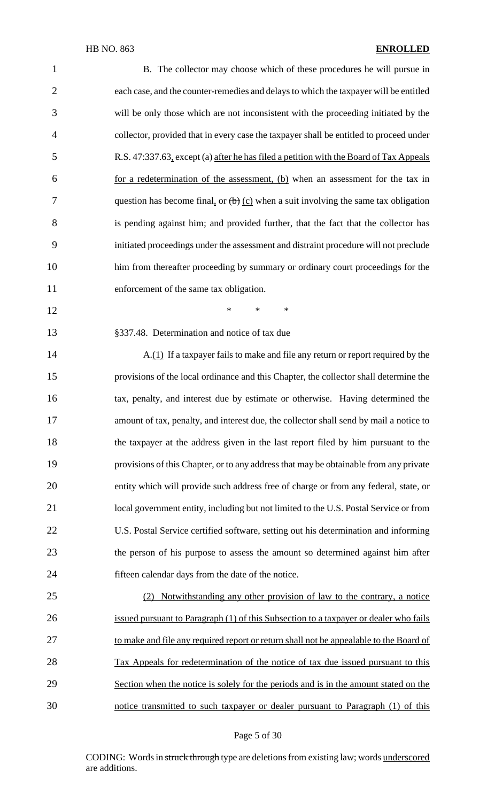| $\mathbf{1}$   | B. The collector may choose which of these procedures he will pursue in                 |
|----------------|-----------------------------------------------------------------------------------------|
| $\overline{2}$ | each case, and the counter-remedies and delays to which the taxpayer will be entitled   |
| 3              | will be only those which are not inconsistent with the proceeding initiated by the      |
| $\overline{4}$ | collector, provided that in every case the taxpayer shall be entitled to proceed under  |
| 5              | R.S. 47:337.63, except (a) after he has filed a petition with the Board of Tax Appeals  |
| 6              | for a redetermination of the assessment, (b) when an assessment for the tax in          |
| 7              | question has become final, or $(b)$ (c) when a suit involving the same tax obligation   |
| 8              | is pending against him; and provided further, that the fact that the collector has      |
| 9              | initiated proceedings under the assessment and distraint procedure will not preclude    |
| 10             | him from thereafter proceeding by summary or ordinary court proceedings for the         |
| 11             | enforcement of the same tax obligation.                                                 |
| 12             | $\ast$<br>$\ast$<br>$\ast$                                                              |
| 13             | §337.48. Determination and notice of tax due                                            |
| 14             | A.(1) If a taxpayer fails to make and file any return or report required by the         |
| 15             | provisions of the local ordinance and this Chapter, the collector shall determine the   |
| 16             | tax, penalty, and interest due by estimate or otherwise. Having determined the          |
| 17             | amount of tax, penalty, and interest due, the collector shall send by mail a notice to  |
| 18             | the taxpayer at the address given in the last report filed by him pursuant to the       |
| 19             | provisions of this Chapter, or to any address that may be obtainable from any private   |
| 20             | entity which will provide such address free of charge or from any federal, state, or    |
| 21             | local government entity, including but not limited to the U.S. Postal Service or from   |
| 22             | U.S. Postal Service certified software, setting out his determination and informing     |
| 23             | the person of his purpose to assess the amount so determined against him after          |
| 24             | fifteen calendar days from the date of the notice.                                      |
| 25             | Notwithstanding any other provision of law to the contrary, a notice<br>(2)             |
| 26             | issued pursuant to Paragraph (1) of this Subsection to a taxpayer or dealer who fails   |
| 27             | to make and file any required report or return shall not be appealable to the Board of  |
| 28             | <u>Tax Appeals for redetermination of the notice of tax due issued pursuant to this</u> |
| 29             | Section when the notice is solely for the periods and is in the amount stated on the    |
| 30             | notice transmitted to such taxpayer or dealer pursuant to Paragraph (1) of this         |

# Page 5 of 30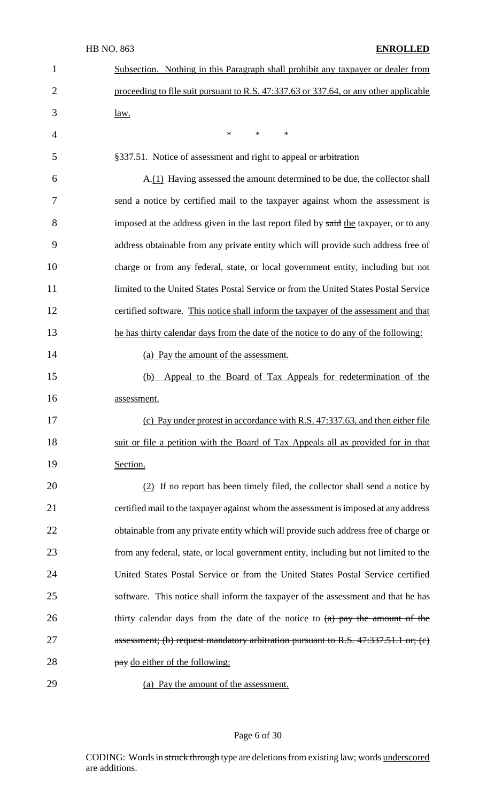| 1              | Subsection. Nothing in this Paragraph shall prohibit any taxpayer or dealer from      |
|----------------|---------------------------------------------------------------------------------------|
| $\overline{2}$ | proceeding to file suit pursuant to R.S. 47:337.63 or 337.64, or any other applicable |
| 3              | <u>law.</u>                                                                           |
| 4              | $\star$<br>$\ast$<br>$\ast$                                                           |
| 5              | §337.51. Notice of assessment and right to appeal or arbitration                      |
| 6              | A.(1) Having assessed the amount determined to be due, the collector shall            |
| 7              | send a notice by certified mail to the taxpayer against whom the assessment is        |
| 8              | imposed at the address given in the last report filed by said the taxpayer, or to any |
| 9              | address obtainable from any private entity which will provide such address free of    |
| 10             | charge or from any federal, state, or local government entity, including but not      |
| 11             | limited to the United States Postal Service or from the United States Postal Service  |
| 12             | certified software. This notice shall inform the taxpayer of the assessment and that  |
| 13             | he has thirty calendar days from the date of the notice to do any of the following:   |
| 14             | (a) Pay the amount of the assessment.                                                 |
| 15             | Appeal to the Board of Tax Appeals for redetermination of the<br>(b)                  |
| 16             | assessment.                                                                           |
| 17             | (c) Pay under protest in accordance with R.S. 47:337.63, and then either file         |
| 18             | suit or file a petition with the Board of Tax Appeals all as provided for in that     |
| 19             | Section.                                                                              |
| 20             | (2) If no report has been timely filed, the collector shall send a notice by          |
| 21             | certified mail to the taxpayer against whom the assessment is imposed at any address  |
| 22             | obtainable from any private entity which will provide such address free of charge or  |
| 23             | from any federal, state, or local government entity, including but not limited to the |
| 24             | United States Postal Service or from the United States Postal Service certified       |
| 25             | software. This notice shall inform the taxpayer of the assessment and that he has     |
| 26             | thirty calendar days from the date of the notice to $(a)$ pay the amount of the       |
| 27             | assessment; (b) request mandatory arbitration pursuant to R.S. $47:337.51.1$ or; (c)  |
| 28             | pay do either of the following:                                                       |
| 29             | (a) Pay the amount of the assessment.                                                 |

Page 6 of 30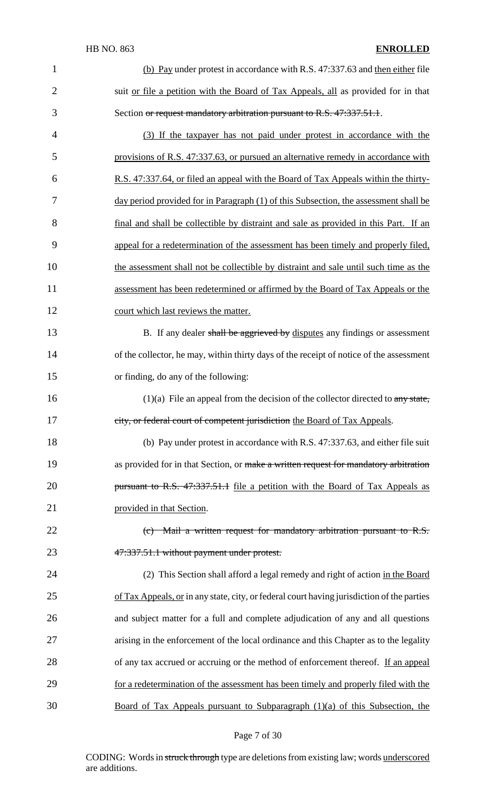| $\mathbf{1}$   | (b) Pay under protest in accordance with R.S. 47:337.63 and then either file                     |
|----------------|--------------------------------------------------------------------------------------------------|
| $\overline{2}$ | suit or file a petition with the Board of Tax Appeals, all as provided for in that               |
| 3              | Section or request mandatory arbitration pursuant to R.S. 47:337.51.1.                           |
| $\overline{4}$ | (3) If the taxpayer has not paid under protest in accordance with the                            |
| 5              | provisions of R.S. 47:337.63, or pursued an alternative remedy in accordance with                |
| 6              | R.S. 47:337.64, or filed an appeal with the Board of Tax Appeals within the thirty-              |
| 7              | day period provided for in Paragraph (1) of this Subsection, the assessment shall be             |
| 8              | final and shall be collectible by distraint and sale as provided in this Part. If an             |
| 9              | appeal for a redetermination of the assessment has been timely and properly filed,               |
| 10             | the assessment shall not be collectible by distraint and sale until such time as the             |
| 11             | assessment has been redetermined or affirmed by the Board of Tax Appeals or the                  |
| 12             | court which last reviews the matter.                                                             |
| 13             | B. If any dealer shall be aggrieved by disputes any findings or assessment                       |
| 14             | of the collector, he may, within thirty days of the receipt of notice of the assessment          |
| 15             | or finding, do any of the following:                                                             |
| 16             | $(1)(a)$ File an appeal from the decision of the collector directed to any state,                |
| 17             | city, or federal court of competent jurisdiction the Board of Tax Appeals.                       |
| 18             | (b) Pay under protest in accordance with R.S. 47:337.63, and either file suit                    |
| 19             | as provided for in that Section, or make a written request for mandatory arbitration             |
| 20             | pursuant to R.S. 47:337.51.1 file a petition with the Board of Tax Appeals as                    |
| 21             | provided in that Section.                                                                        |
| 22             | $(c)$ Mail a written request for mandatory arbitration pursuant to R.S.                          |
| 23             | 47:337.51.1 without payment under protest.                                                       |
| 24             | (2) This Section shall afford a legal remedy and right of action in the Board                    |
| 25             | of Tax Appeals, or in any state, city, or federal court having jurisdiction of the parties       |
| 26             | and subject matter for a full and complete adjudication of any and all questions                 |
| 27             | arising in the enforcement of the local ordinance and this Chapter as to the legality            |
| 28             | of any tax accrued or accruing or the method of enforcement thereof. If an appeal                |
| 29             | for a redetermination of the assessment has been timely and properly filed with the              |
| 30             | <u>Board of Tax Appeals pursuant to Subparagraph <math>(1)(a)</math> of this Subsection, the</u> |

# Page 7 of 30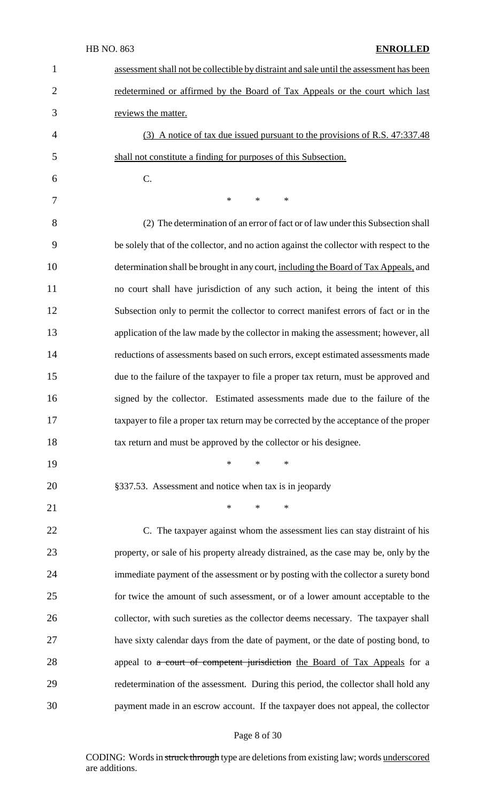| $\mathbf 1$    | assessment shall not be collectible by distraint and sale until the assessment has been  |
|----------------|------------------------------------------------------------------------------------------|
| $\overline{2}$ | redetermined or affirmed by the Board of Tax Appeals or the court which last             |
| 3              | reviews the matter.                                                                      |
| $\overline{4}$ | (3) A notice of tax due issued pursuant to the provisions of R.S. 47:337.48              |
| 5              | shall not constitute a finding for purposes of this Subsection.                          |
| 6              | C.                                                                                       |
| 7              | *<br>$*$<br>$\ast$                                                                       |
| 8              | (2) The determination of an error of fact or of law under this Subsection shall          |
| 9              | be solely that of the collector, and no action against the collector with respect to the |
| 10             | determination shall be brought in any court, including the Board of Tax Appeals, and     |
| 11             | no court shall have jurisdiction of any such action, it being the intent of this         |
| 12             | Subsection only to permit the collector to correct manifest errors of fact or in the     |
| 13             | application of the law made by the collector in making the assessment; however, all      |
| 14             | reductions of assessments based on such errors, except estimated assessments made        |
| 15             | due to the failure of the taxpayer to file a proper tax return, must be approved and     |
| 16             | signed by the collector. Estimated assessments made due to the failure of the            |
| 17             | taxpayer to file a proper tax return may be corrected by the acceptance of the proper    |
| 18             | tax return and must be approved by the collector or his designee.                        |
| 19             | $*$ *<br>$\ast$                                                                          |
| 20             | §337.53. Assessment and notice when tax is in jeopardy                                   |
| 21             | $\ast$<br>$\ast$<br>$\ast$                                                               |
| 22             | C. The taxpayer against whom the assessment lies can stay distraint of his               |
| 23             | property, or sale of his property already distrained, as the case may be, only by the    |
| 24             | immediate payment of the assessment or by posting with the collector a surety bond       |
| 25             | for twice the amount of such assessment, or of a lower amount acceptable to the          |
| 26             | collector, with such sureties as the collector deems necessary. The taxpayer shall       |
| 27             | have sixty calendar days from the date of payment, or the date of posting bond, to       |
| 28             | appeal to a court of competent jurisdiction the Board of Tax Appeals for a               |
| 29             | redetermination of the assessment. During this period, the collector shall hold any      |
| 30             | payment made in an escrow account. If the taxpayer does not appeal, the collector        |

Page 8 of 30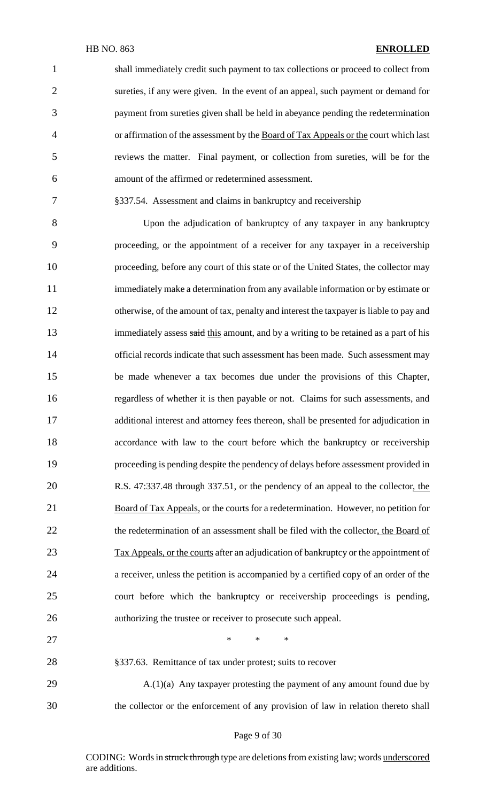shall immediately credit such payment to tax collections or proceed to collect from sureties, if any were given. In the event of an appeal, such payment or demand for payment from sureties given shall be held in abeyance pending the redetermination 4 or affirmation of the assessment by the Board of Tax Appeals or the court which last reviews the matter. Final payment, or collection from sureties, will be for the amount of the affirmed or redetermined assessment.

§337.54. Assessment and claims in bankruptcy and receivership

 Upon the adjudication of bankruptcy of any taxpayer in any bankruptcy proceeding, or the appointment of a receiver for any taxpayer in a receivership proceeding, before any court of this state or of the United States, the collector may immediately make a determination from any available information or by estimate or otherwise, of the amount of tax, penalty and interest the taxpayer is liable to pay and 13 immediately assess said this amount, and by a writing to be retained as a part of his official records indicate that such assessment has been made. Such assessment may be made whenever a tax becomes due under the provisions of this Chapter, regardless of whether it is then payable or not. Claims for such assessments, and additional interest and attorney fees thereon, shall be presented for adjudication in accordance with law to the court before which the bankruptcy or receivership proceeding is pending despite the pendency of delays before assessment provided in R.S. 47:337.48 through 337.51, or the pendency of an appeal to the collector, the 21 Board of Tax Appeals, or the courts for a redetermination. However, no petition for 22 the redetermination of an assessment shall be filed with the collector, the Board of 23 Tax Appeals, or the courts after an adjudication of bankruptcy or the appointment of a receiver, unless the petition is accompanied by a certified copy of an order of the court before which the bankruptcy or receivership proceedings is pending, authorizing the trustee or receiver to prosecute such appeal.

 $\qquad \qquad \ast \qquad \ast \qquad \ast$ 

§337.63. Remittance of tax under protest; suits to recover

29 A.(1)(a) Any taxpayer protesting the payment of any amount found due by the collector or the enforcement of any provision of law in relation thereto shall

#### Page 9 of 30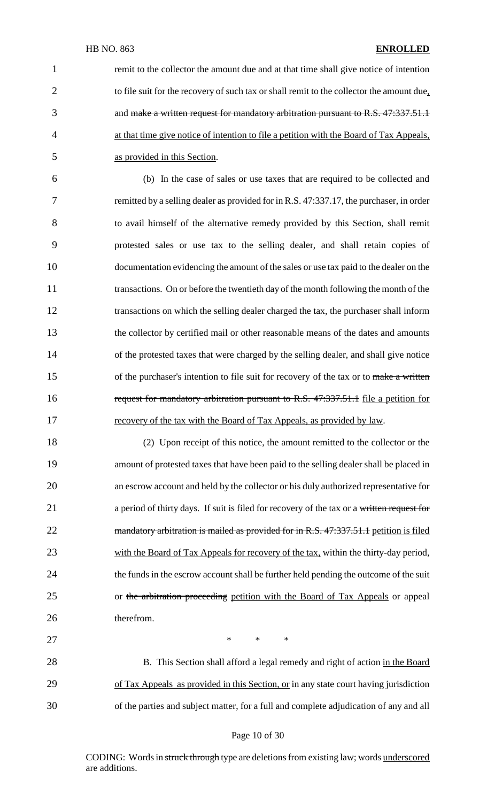1 remit to the collector the amount due and at that time shall give notice of intention 2 to file suit for the recovery of such tax or shall remit to the collector the amount due, 3 and make a written request for mandatory arbitration pursuant to R.S. 47:337.51.1 4 at that time give notice of intention to file a petition with the Board of Tax Appeals, 5 as provided in this Section.

 (b) In the case of sales or use taxes that are required to be collected and remitted by a selling dealer as provided for in R.S. 47:337.17, the purchaser, in order to avail himself of the alternative remedy provided by this Section, shall remit protested sales or use tax to the selling dealer, and shall retain copies of documentation evidencing the amount of the sales or use tax paid to the dealer on the transactions. On or before the twentieth day of the month following the month of the transactions on which the selling dealer charged the tax, the purchaser shall inform the collector by certified mail or other reasonable means of the dates and amounts of the protested taxes that were charged by the selling dealer, and shall give notice 15 of the purchaser's intention to file suit for recovery of the tax or to make a written 16 request for mandatory arbitration pursuant to R.S. 47:337.51.1 file a petition for 17 recovery of the tax with the Board of Tax Appeals, as provided by law.

18 (2) Upon receipt of this notice, the amount remitted to the collector or the 19 amount of protested taxes that have been paid to the selling dealer shall be placed in 20 an escrow account and held by the collector or his duly authorized representative for 21 a period of thirty days. If suit is filed for recovery of the tax or a written request for 22 mandatory arbitration is mailed as provided for in R.S. 47:337.51.1 petition is filed 23 with the Board of Tax Appeals for recovery of the tax, within the thirty-day period, 24 the funds in the escrow account shall be further held pending the outcome of the suit 25 or the arbitration proceeding petition with the Board of Tax Appeals or appeal 26 therefrom.

28 B. This Section shall afford a legal remedy and right of action in the Board 29 of Tax Appeals as provided in this Section, or in any state court having jurisdiction 30 of the parties and subject matter, for a full and complete adjudication of any and all

27  $\qquad \qquad \ast \qquad \ast \qquad \ast$ 

#### Page 10 of 30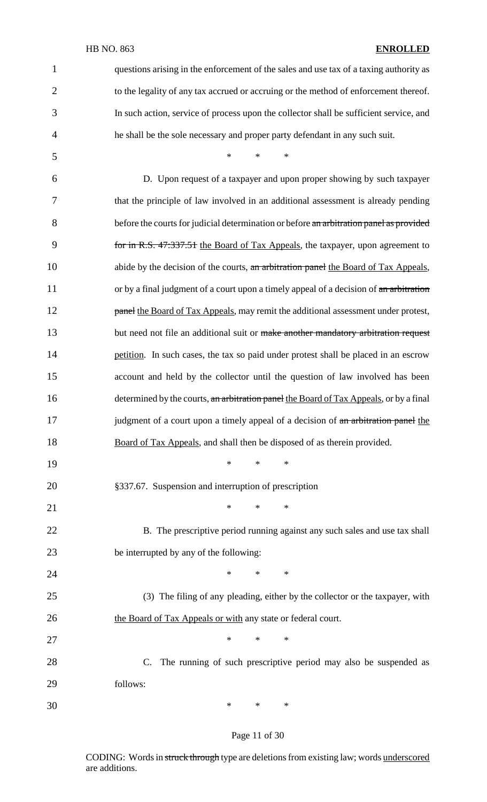| $\mathbf{1}$   | questions arising in the enforcement of the sales and use tax of a taxing authority as  |  |  |
|----------------|-----------------------------------------------------------------------------------------|--|--|
| $\overline{2}$ | to the legality of any tax accrued or accruing or the method of enforcement thereof.    |  |  |
| 3              | In such action, service of process upon the collector shall be sufficient service, and  |  |  |
| $\overline{4}$ | he shall be the sole necessary and proper party defendant in any such suit.             |  |  |
| 5              | $*$ and $*$<br>$\ast$<br>$*$                                                            |  |  |
| 6              | D. Upon request of a taxpayer and upon proper showing by such taxpayer                  |  |  |
| 7              | that the principle of law involved in an additional assessment is already pending       |  |  |
| 8              | before the courts for judicial determination or before an arbitration panel as provided |  |  |
| 9              | for in R.S. 47:337.51 the Board of Tax Appeals, the taxpayer, upon agreement to         |  |  |
| 10             | abide by the decision of the courts, an arbitration panel the Board of Tax Appeals,     |  |  |
| 11             | or by a final judgment of a court upon a timely appeal of a decision of an arbitration  |  |  |
| 12             | panel the Board of Tax Appeals, may remit the additional assessment under protest,      |  |  |
| 13             | but need not file an additional suit or make another mandatory arbitration request      |  |  |
| 14             | petition. In such cases, the tax so paid under protest shall be placed in an escrow     |  |  |
| 15             | account and held by the collector until the question of law involved has been           |  |  |
| 16             | determined by the courts, an arbitration panel the Board of Tax Appeals, or by a final  |  |  |
| 17             | judgment of a court upon a timely appeal of a decision of an arbitration panel the      |  |  |
| 18             | Board of Tax Appeals, and shall then be disposed of as therein provided.                |  |  |
| 19             | $\ast$<br>$\ast$<br>∗                                                                   |  |  |
| 20             | §337.67. Suspension and interruption of prescription                                    |  |  |
| 21             | $\ast$<br>$\ast$<br>∗                                                                   |  |  |
| 22             | B. The prescriptive period running against any such sales and use tax shall             |  |  |
| 23             | be interrupted by any of the following:                                                 |  |  |
| 24             | $\ast$<br>$\ast$<br>∗                                                                   |  |  |
| 25             | (3) The filing of any pleading, either by the collector or the taxpayer, with           |  |  |
| 26             | the Board of Tax Appeals or with any state or federal court.                            |  |  |
| 27             | $\ast$<br>$\ast$<br>$\ast$                                                              |  |  |
| 28             | The running of such prescriptive period may also be suspended as<br>$\mathbf{C}$ .      |  |  |
| 29             | follows:                                                                                |  |  |
| 30             | *<br>*<br>∗                                                                             |  |  |

# Page 11 of 30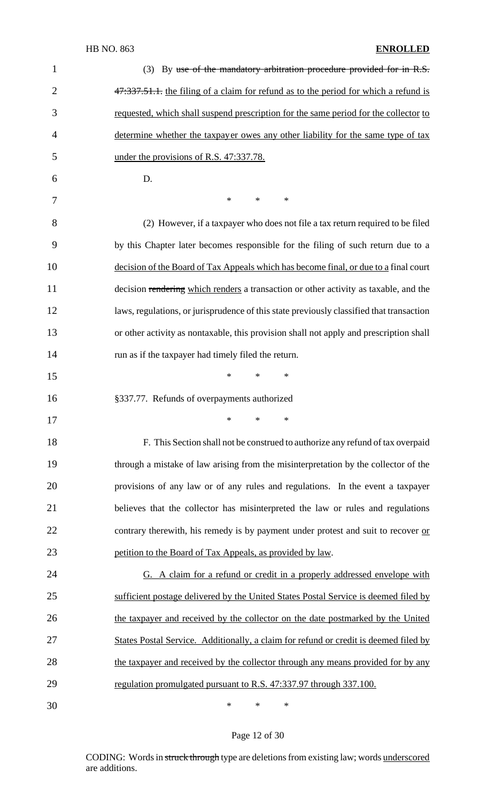| $\mathbf{1}$   | (3) By use of the mandatory arbitration procedure provided for in R.S.                   |
|----------------|------------------------------------------------------------------------------------------|
| $\overline{2}$ | 47:337.51.1. the filing of a claim for refund as to the period for which a refund is     |
| 3              | requested, which shall suspend prescription for the same period for the collector to     |
| 4              | determine whether the taxpayer owes any other liability for the same type of tax         |
| 5              | under the provisions of R.S. 47:337.78.                                                  |
| 6              | D.                                                                                       |
| 7              | $\ast$<br>$\ast$<br>$\ast$                                                               |
| 8              | (2) However, if a taxpayer who does not file a tax return required to be filed           |
| 9              | by this Chapter later becomes responsible for the filing of such return due to a         |
| 10             | decision of the Board of Tax Appeals which has become final, or due to a final court     |
| 11             | decision rendering which renders a transaction or other activity as taxable, and the     |
| 12             | laws, regulations, or jurisprudence of this state previously classified that transaction |
| 13             | or other activity as nontaxable, this provision shall not apply and prescription shall   |
| 14             | run as if the taxpayer had timely filed the return.                                      |
| 15             | $\ast$<br>*<br>∗                                                                         |
| 16             | §337.77. Refunds of overpayments authorized                                              |
| 17             | *<br>$\ast$                                                                              |
| 18             | F. This Section shall not be construed to authorize any refund of tax overpaid           |
| 19             | through a mistake of law arising from the misinterpretation by the collector of the      |
| 20             | provisions of any law or of any rules and regulations. In the event a taxpayer           |
| 21             | believes that the collector has misinterpreted the law or rules and regulations          |
| 22             | contrary therewith, his remedy is by payment under protest and suit to recover or        |
| 23             | petition to the Board of Tax Appeals, as provided by law.                                |
| 24             | G. A claim for a refund or credit in a properly addressed envelope with                  |
| 25             | sufficient postage delivered by the United States Postal Service is deemed filed by      |
| 26             | the taxpayer and received by the collector on the date postmarked by the United          |
| 27             | States Postal Service. Additionally, a claim for refund or credit is deemed filed by     |
| 28             | the taxpayer and received by the collector through any means provided for by any         |
| 29             | regulation promulgated pursuant to R.S. 47:337.97 through 337.100.                       |
| 30             | ∗<br>∗<br>∗                                                                              |

# Page 12 of 30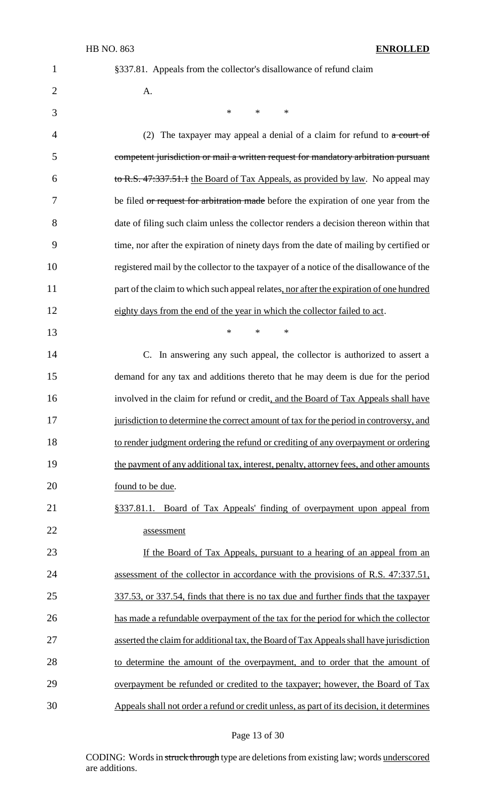1 §337.81. Appeals from the collector's disallowance of refund claim

2  $A$ .

3  $*$  \* \* \*

4 (2) The taxpayer may appeal a denial of a claim for refund to a court of 5 competent jurisdiction or mail a written request for mandatory arbitration pursuant 6 to R.S. 47:337.51.1 the Board of Tax Appeals, as provided by law. No appeal may 7 be filed or request for arbitration made before the expiration of one year from the 8 date of filing such claim unless the collector renders a decision thereon within that 9 time, nor after the expiration of ninety days from the date of mailing by certified or 10 registered mail by the collector to the taxpayer of a notice of the disallowance of the 11 part of the claim to which such appeal relates, nor after the expiration of one hundred 12 eighty days from the end of the year in which the collector failed to act. 13 \* \* \* 14 C. In answering any such appeal, the collector is authorized to assert a 15 demand for any tax and additions thereto that he may deem is due for the period 16 involved in the claim for refund or credit, and the Board of Tax Appeals shall have 17 jurisdiction to determine the correct amount of tax for the period in controversy, and 18 to render judgment ordering the refund or crediting of any overpayment or ordering 19 the payment of any additional tax, interest, penalty, attorney fees, and other amounts 20 <u>found to be due</u>. 21 §337.81.1. Board of Tax Appeals' finding of overpayment upon appeal from 22 assessment 23 If the Board of Tax Appeals, pursuant to a hearing of an appeal from an 24 assessment of the collector in accordance with the provisions of R.S. 47:337.51, 25 337.53, or 337.54, finds that there is no tax due and further finds that the taxpayer 26 has made a refundable overpayment of the tax for the period for which the collector 27 asserted the claim for additional tax, the Board of Tax Appeals shall have jurisdiction 28 to determine the amount of the overpayment, and to order that the amount of 29 overpayment be refunded or credited to the taxpayer; however, the Board of Tax 30 Appeals shall not order a refund or credit unless, as part of its decision, it determines

#### Page 13 of 30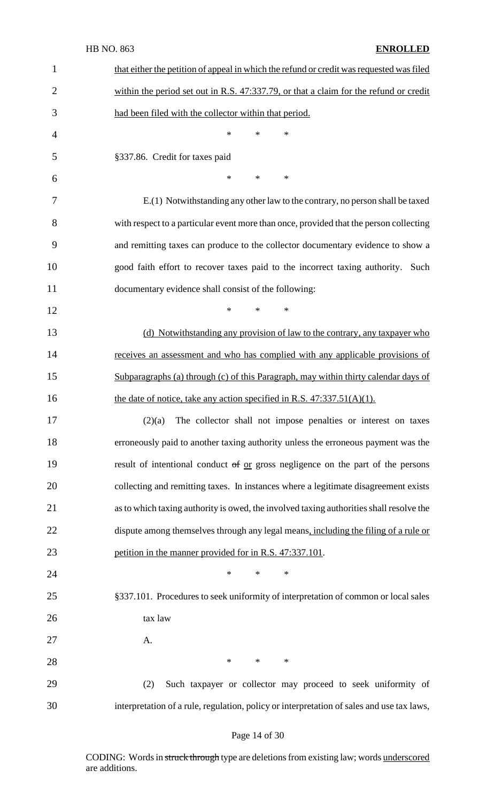| 1              | that either the petition of appeal in which the refund or credit was requested was filed  |  |  |  |
|----------------|-------------------------------------------------------------------------------------------|--|--|--|
| $\overline{2}$ | within the period set out in R.S. 47:337.79, or that a claim for the refund or credit     |  |  |  |
| 3              | had been filed with the collector within that period.                                     |  |  |  |
| $\overline{4}$ | $\ast$<br>$\ast$<br>$\ast$                                                                |  |  |  |
| 5              | §337.86. Credit for taxes paid                                                            |  |  |  |
| 6              | $\ast$<br>$*$<br>$\ast$                                                                   |  |  |  |
| 7              | E.(1) Notwithstanding any other law to the contrary, no person shall be taxed             |  |  |  |
| 8              | with respect to a particular event more than once, provided that the person collecting    |  |  |  |
| 9              | and remitting taxes can produce to the collector documentary evidence to show a           |  |  |  |
| 10             | good faith effort to recover taxes paid to the incorrect taxing authority. Such           |  |  |  |
| 11             | documentary evidence shall consist of the following:                                      |  |  |  |
| 12             | $\ast$<br>$\ast$<br>$\ast$                                                                |  |  |  |
| 13             | (d) Notwithstanding any provision of law to the contrary, any taxpayer who                |  |  |  |
| 14             | receives an assessment and who has complied with any applicable provisions of             |  |  |  |
| 15             | Subparagraphs (a) through (c) of this Paragraph, may within thirty calendar days of       |  |  |  |
| 16             | the date of notice, take any action specified in R.S. $47:337.51(A)(1)$ .                 |  |  |  |
| 17             | $(2)(a)$ The collector shall not impose penalties or interest on taxes                    |  |  |  |
| 18             | erroneously paid to another taxing authority unless the erroneous payment was the         |  |  |  |
| 19             | result of intentional conduct of or gross negligence on the part of the persons           |  |  |  |
| 20             | collecting and remitting taxes. In instances where a legitimate disagreement exists       |  |  |  |
| 21             | as to which taxing authority is owed, the involved taxing authorities shall resolve the   |  |  |  |
| 22             | dispute among themselves through any legal means, including the filing of a rule or       |  |  |  |
| 23             | petition in the manner provided for in R.S. 47:337.101.                                   |  |  |  |
| 24             | $\ast$<br>$\ast$<br>$\ast$                                                                |  |  |  |
| 25             | §337.101. Procedures to seek uniformity of interpretation of common or local sales        |  |  |  |
| 26             | tax law                                                                                   |  |  |  |
| 27             | A.                                                                                        |  |  |  |
| 28             | $\ast$<br>$*$<br>$\ast$                                                                   |  |  |  |
| 29             | Such taxpayer or collector may proceed to seek uniformity of<br>(2)                       |  |  |  |
| 30             | interpretation of a rule, regulation, policy or interpretation of sales and use tax laws, |  |  |  |

# Page 14 of 30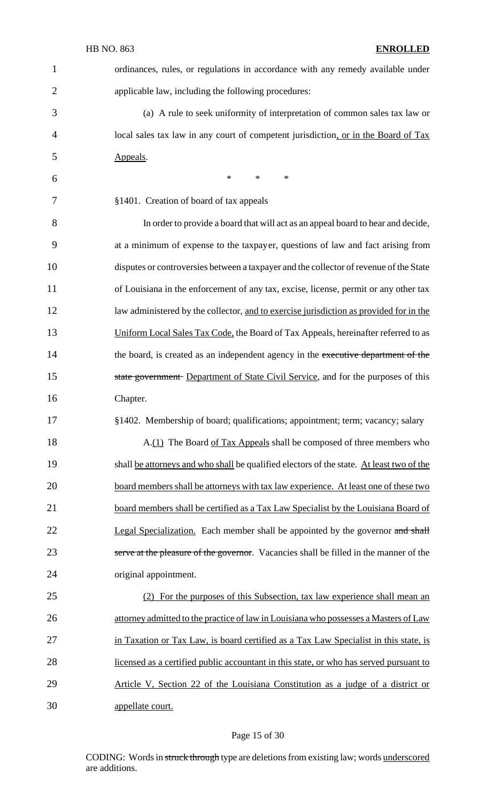|                | <b>HB NO. 863</b><br><b>ENROLLED</b>                                                     |
|----------------|------------------------------------------------------------------------------------------|
| $\mathbf{1}$   | ordinances, rules, or regulations in accordance with any remedy available under          |
| $\overline{2}$ | applicable law, including the following procedures:                                      |
| 3              | (a) A rule to seek uniformity of interpretation of common sales tax law or               |
| 4              | local sales tax law in any court of competent jurisdiction, or in the Board of Tax       |
| 5              | Appeals.                                                                                 |
| 6              | *<br>$\ast$<br>∗                                                                         |
| 7              | §1401. Creation of board of tax appeals                                                  |
| 8              | In order to provide a board that will act as an appeal board to hear and decide,         |
| 9              | at a minimum of expense to the taxpayer, questions of law and fact arising from          |
| 10             | disputes or controversies between a taxpayer and the collector of revenue of the State   |
| 11             | of Louisiana in the enforcement of any tax, excise, license, permit or any other tax     |
| 12             | law administered by the collector, and to exercise jurisdiction as provided for in the   |
| 13             | Uniform Local Sales Tax Code, the Board of Tax Appeals, hereinafter referred to as       |
| 14             | the board, is created as an independent agency in the executive department of the        |
| 15             | state government Department of State Civil Service, and for the purposes of this         |
| 16             | Chapter.                                                                                 |
| 17             | §1402. Membership of board; qualifications; appointment; term; vacancy; salary           |
| 18             | A.(1) The Board of Tax Appeals shall be composed of three members who                    |
| 19             | shall be attorneys and who shall be qualified electors of the state. At least two of the |
| 20             | board members shall be attorneys with tax law experience. At least one of these two      |
| 21             | board members shall be certified as a Tax Law Specialist by the Louisiana Board of       |
| 22             | Legal Specialization. Each member shall be appointed by the governor and shall           |
| 23             | serve at the pleasure of the governor. Vacancies shall be filled in the manner of the    |
| 24             | original appointment.                                                                    |
| 25             | (2) For the purposes of this Subsection, tax law experience shall mean an                |
| 26             | attorney admitted to the practice of law in Louisiana who possesses a Masters of Law     |
| 27             | in Taxation or Tax Law, is board certified as a Tax Law Specialist in this state, is     |
| 28             | licensed as a certified public accountant in this state, or who has served pursuant to   |
| 29             | Article V, Section 22 of the Louisiana Constitution as a judge of a district or          |
| 30             | appellate court.                                                                         |

# Page 15 of 30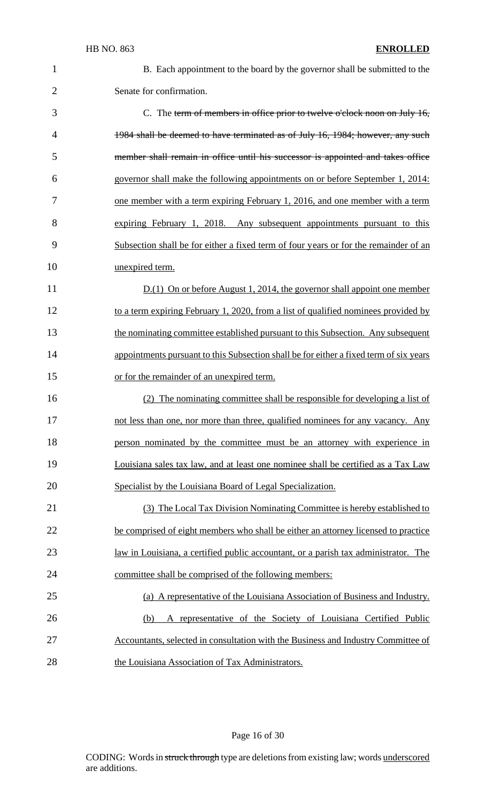| í |   |
|---|---|
|   | í |
|   |   |
|   |   |
|   |   |

 B. Each appointment to the board by the governor shall be submitted to the Senate for confirmation.

 C. The term of members in office prior to twelve o'clock noon on July 16, 4 1984 shall be deemed to have terminated as of July 16, 1984; however, any such member shall remain in office until his successor is appointed and takes office governor shall make the following appointments on or before September 1, 2014: one member with a term expiring February 1, 2016, and one member with a term expiring February 1, 2018. Any subsequent appointments pursuant to this Subsection shall be for either a fixed term of four years or for the remainder of an unexpired term.

 D.(1) On or before August 1, 2014, the governor shall appoint one member 12 to a term expiring February 1, 2020, from a list of qualified nominees provided by 13 the nominating committee established pursuant to this Subsection. Any subsequent 14 appointments pursuant to this Subsection shall be for either a fixed term of six years 15 or for the remainder of an unexpired term.

 (2) The nominating committee shall be responsible for developing a list of 17 not less than one, nor more than three, qualified nominees for any vacancy. Any **person nominated by the committee must be an attorney with experience in**  Louisiana sales tax law, and at least one nominee shall be certified as a Tax Law Specialist by the Louisiana Board of Legal Specialization.

 (3) The Local Tax Division Nominating Committee is hereby established to be comprised of eight members who shall be either an attorney licensed to practice law in Louisiana, a certified public accountant, or a parish tax administrator. The committee shall be comprised of the following members:

 (a) A representative of the Louisiana Association of Business and Industry. (b) A representative of the Society of Louisiana Certified Public Accountants, selected in consultation with the Business and Industry Committee of the Louisiana Association of Tax Administrators.

#### Page 16 of 30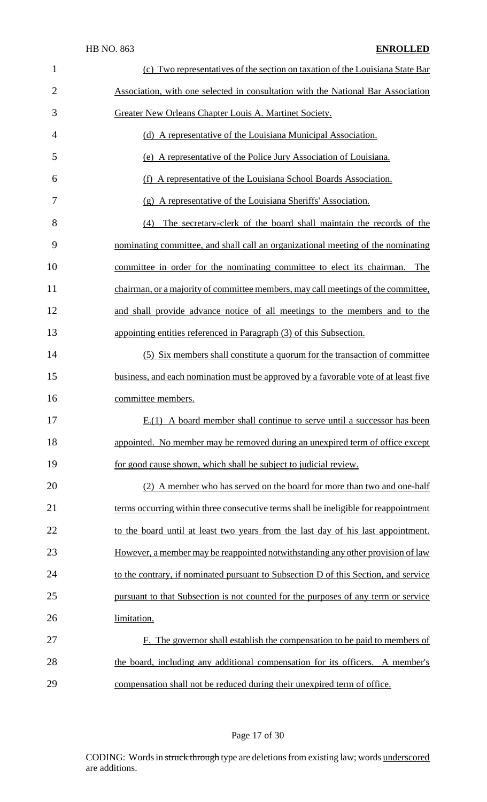| $\mathbf{1}$   | (c) Two representatives of the section on taxation of the Louisiana State Bar        |
|----------------|--------------------------------------------------------------------------------------|
| $\overline{2}$ | Association, with one selected in consultation with the National Bar Association     |
| 3              | Greater New Orleans Chapter Louis A. Martinet Society.                               |
| 4              | (d) A representative of the Louisiana Municipal Association.                         |
| 5              | (e) A representative of the Police Jury Association of Louisiana.                    |
| 6              | A representative of the Louisiana School Boards Association.<br>(f)                  |
| 7              | (g) A representative of the Louisiana Sheriffs' Association.                         |
| 8              | The secretary-clerk of the board shall maintain the records of the<br>(4)            |
| 9              | nominating committee, and shall call an organizational meeting of the nominating     |
| 10             | committee in order for the nominating committee to elect its chairman. The           |
| 11             | chairman, or a majority of committee members, may call meetings of the committee,    |
| 12             | and shall provide advance notice of all meetings to the members and to the           |
| 13             | appointing entities referenced in Paragraph (3) of this Subsection.                  |
| 14             | (5) Six members shall constitute a quorum for the transaction of committee           |
| 15             | business, and each nomination must be approved by a favorable vote of at least five  |
| 16             | committee members.                                                                   |
| 17             | $E(1)$ A board member shall continue to serve until a successor has been             |
| 18             | appointed. No member may be removed during an unexpired term of office except        |
| 19             | for good cause shown, which shall be subject to judicial review.                     |
| 20             | (2) A member who has served on the board for more than two and one-half              |
| 21             | terms occurring within three consecutive terms shall be ineligible for reappointment |
| 22             | to the board until at least two years from the last day of his last appointment.     |
| 23             | However, a member may be reappointed notwithstanding any other provision of law      |
| 24             | to the contrary, if nominated pursuant to Subsection D of this Section, and service  |
| 25             | pursuant to that Subsection is not counted for the purposes of any term or service   |
| 26             | limitation.                                                                          |
| 27             | F. The governor shall establish the compensation to be paid to members of            |
| 28             | the board, including any additional compensation for its officers. A member's        |
| 29             | compensation shall not be reduced during their unexpired term of office.             |

# Page 17 of 30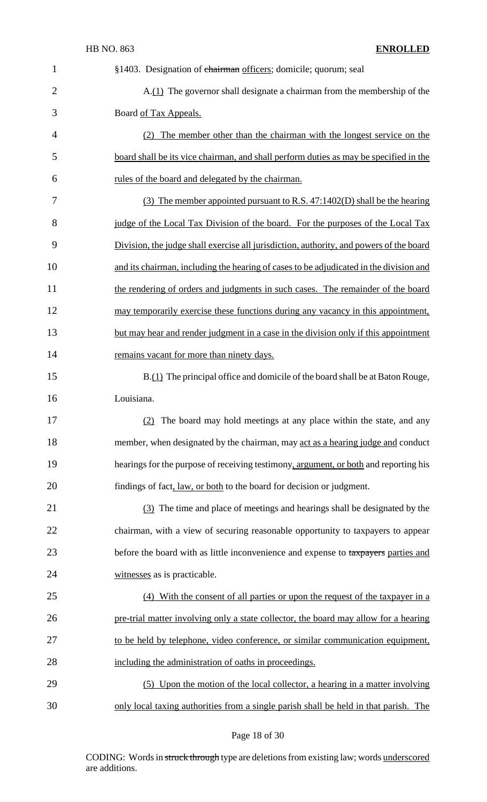| $\mathbf{1}$   | §1403. Designation of chairman officers; domicile; quorum; seal                         |
|----------------|-----------------------------------------------------------------------------------------|
| $\overline{2}$ | A.(1) The governor shall designate a chairman from the membership of the                |
| 3              | Board of Tax Appeals.                                                                   |
| $\overline{4}$ | (2) The member other than the chairman with the longest service on the                  |
| 5              | board shall be its vice chairman, and shall perform duties as may be specified in the   |
| 6              | rules of the board and delegated by the chairman.                                       |
| 7              | $(3)$ The member appointed pursuant to R.S. 47:1402(D) shall be the hearing             |
| 8              | judge of the Local Tax Division of the board. For the purposes of the Local Tax         |
| 9              | Division, the judge shall exercise all jurisdiction, authority, and powers of the board |
| 10             | and its chairman, including the hearing of cases to be adjudicated in the division and  |
| 11             | the rendering of orders and judgments in such cases. The remainder of the board         |
| 12             | may temporarily exercise these functions during any vacancy in this appointment,        |
| 13             | but may hear and render judgment in a case in the division only if this appointment     |
| 14             | remains vacant for more than ninety days.                                               |
| 15             | B.(1) The principal office and domicile of the board shall be at Baton Rouge,           |
| 16             | Louisiana.                                                                              |
| 17             | (2) The board may hold meetings at any place within the state, and any                  |
| 18             | member, when designated by the chairman, may act as a hearing judge and conduct         |
| 19             | hearings for the purpose of receiving testimony, argument, or both and reporting his    |
| 20             | findings of fact, law, or both to the board for decision or judgment.                   |
| 21             | (3) The time and place of meetings and hearings shall be designated by the              |
| 22             | chairman, with a view of securing reasonable opportunity to taxpayers to appear         |
| 23             | before the board with as little inconvenience and expense to taxpayers parties and      |
| 24             | witnesses as is practicable.                                                            |
| 25             | (4) With the consent of all parties or upon the request of the taxpayer in a            |
| 26             | pre-trial matter involving only a state collector, the board may allow for a hearing    |
| 27             | to be held by telephone, video conference, or similar communication equipment,          |
| 28             | including the administration of oaths in proceedings.                                   |
| 29             | (5) Upon the motion of the local collector, a hearing in a matter involving             |
| 30             | only local taxing authorities from a single parish shall be held in that parish. The    |

# Page 18 of 30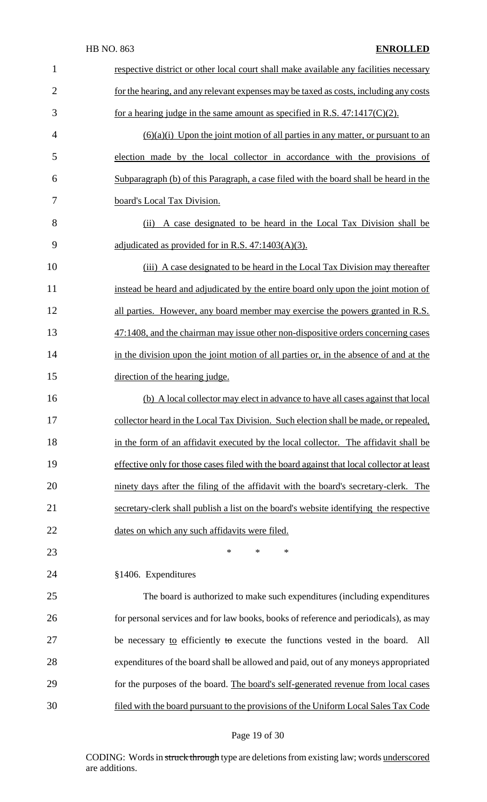| $\mathbf{1}$   | respective district or other local court shall make available any facilities necessary    |
|----------------|-------------------------------------------------------------------------------------------|
| $\overline{2}$ | for the hearing, and any relevant expenses may be taxed as costs, including any costs     |
| 3              | for a hearing judge in the same amount as specified in R.S. $47:1417(C)(2)$ .             |
| $\overline{4}$ | $(6)(a)(i)$ Upon the joint motion of all parties in any matter, or pursuant to an         |
| 5              | election made by the local collector in accordance with the provisions of                 |
| 6              | Subparagraph (b) of this Paragraph, a case filed with the board shall be heard in the     |
| 7              | board's Local Tax Division.                                                               |
| 8              | A case designated to be heard in the Local Tax Division shall be<br>(ii)                  |
| 9              | adjudicated as provided for in R.S. $47:1403(A)(3)$ .                                     |
| 10             | (iii) A case designated to be heard in the Local Tax Division may thereafter              |
| 11             | instead be heard and adjudicated by the entire board only upon the joint motion of        |
| 12             | all parties. However, any board member may exercise the powers granted in R.S.            |
| 13             | 47:1408, and the chairman may issue other non-dispositive orders concerning cases         |
| 14             | in the division upon the joint motion of all parties or, in the absence of and at the     |
| 15             | direction of the hearing judge.                                                           |
| 16             | (b) A local collector may elect in advance to have all cases against that local           |
| 17             | collector heard in the Local Tax Division. Such election shall be made, or repealed,      |
| 18             | in the form of an affidavit executed by the local collector. The affidavit shall be       |
| 19             | effective only for those cases filed with the board against that local collector at least |
| 20             | ninety days after the filing of the affidavit with the board's secretary-clerk. The       |
| 21             | secretary-clerk shall publish a list on the board's website identifying the respective    |
| 22             | dates on which any such affidavits were filed.                                            |
| 23             | ∗<br>*<br>*                                                                               |
| 24             | §1406. Expenditures                                                                       |
| 25             | The board is authorized to make such expenditures (including expenditures                 |
| 26             | for personal services and for law books, books of reference and periodicals), as may      |
| 27             | be necessary to efficiently to execute the functions vested in the board.<br>All          |
| 28             | expenditures of the board shall be allowed and paid, out of any moneys appropriated       |
| 29             | for the purposes of the board. The board's self-generated revenue from local cases        |
| 30             | filed with the board pursuant to the provisions of the Uniform Local Sales Tax Code       |

# Page 19 of 30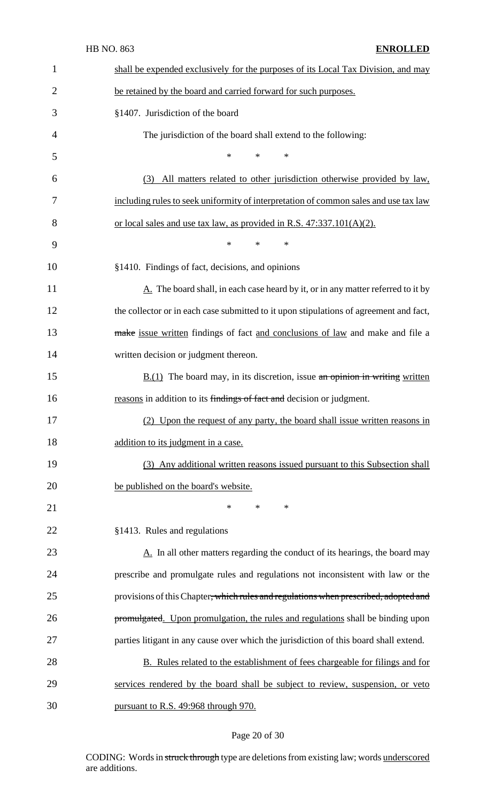| $\mathbf{1}$   | shall be expended exclusively for the purposes of its Local Tax Division, and may               |
|----------------|-------------------------------------------------------------------------------------------------|
| $\overline{2}$ | be retained by the board and carried forward for such purposes.                                 |
| 3              | §1407. Jurisdiction of the board                                                                |
| 4              | The jurisdiction of the board shall extend to the following:                                    |
| 5              | $\ast$<br>$\ast$<br>∗                                                                           |
| 6              | All matters related to other jurisdiction otherwise provided by law,<br>(3)                     |
| 7              | including rules to seek uniformity of interpretation of common sales and use tax law            |
| 8              | or local sales and use tax law, as provided in R.S. $47:337.101(A)(2)$ .                        |
| 9              | $\ast$<br>$\ast$<br>$\ast$                                                                      |
| 10             | §1410. Findings of fact, decisions, and opinions                                                |
| 11             | $\underline{A}$ . The board shall, in each case heard by it, or in any matter referred to it by |
| 12             | the collector or in each case submitted to it upon stipulations of agreement and fact,          |
| 13             | make issue written findings of fact and conclusions of law and make and file a                  |
| 14             | written decision or judgment thereon.                                                           |
| 15             | $\underline{B(1)}$ The board may, in its discretion, issue an opinion in writing written        |
| 16             | reasons in addition to its findings of fact and decision or judgment.                           |
| 17             | (2) Upon the request of any party, the board shall issue written reasons in                     |
| 18             | addition to its judgment in a case.                                                             |
| 19             | (3) Any additional written reasons issued pursuant to this Subsection shall                     |
| 20             | be published on the board's website.                                                            |
| 21             | ∗<br>$\ast$<br>$\ast$                                                                           |
| 22             | §1413. Rules and regulations                                                                    |
| 23             | $\underline{A}$ . In all other matters regarding the conduct of its hearings, the board may     |
| 24             | prescribe and promulgate rules and regulations not inconsistent with law or the                 |
| 25             | provisions of this Chapter, which rules and regulations when prescribed, adopted and            |
| 26             | promulgated. Upon promulgation, the rules and regulations shall be binding upon                 |
| 27             | parties litigant in any cause over which the jurisdiction of this board shall extend.           |
| 28             | <b>B.</b> Rules related to the establishment of fees chargeable for filings and for             |
| 29             | services rendered by the board shall be subject to review, suspension, or veto                  |
| 30             | pursuant to R.S. 49:968 through 970.                                                            |

# Page 20 of 30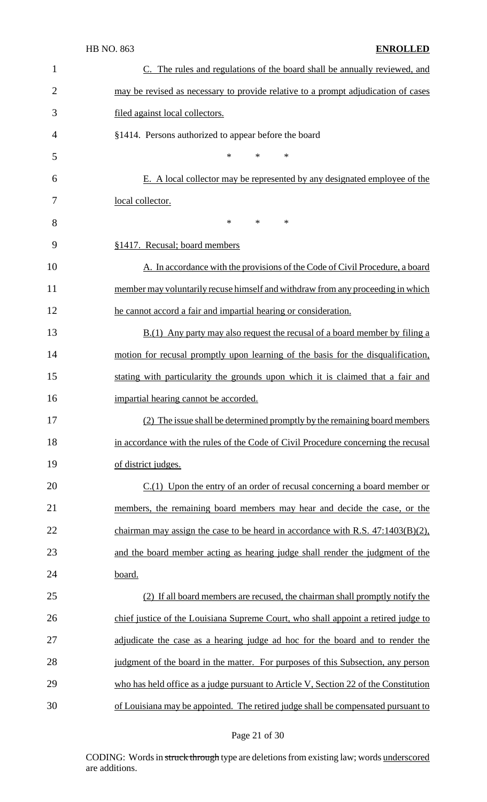| $\mathbf{1}$   | C. The rules and regulations of the board shall be annually reviewed, and            |
|----------------|--------------------------------------------------------------------------------------|
| $\overline{2}$ | may be revised as necessary to provide relative to a prompt adjudication of cases    |
| 3              | filed against local collectors.                                                      |
| $\overline{4}$ | §1414. Persons authorized to appear before the board                                 |
| 5              | $\ast$<br>$\ast$<br>$\ast$                                                           |
| 6              | E. A local collector may be represented by any designated employee of the            |
| 7              | local collector.                                                                     |
| 8              | $\ast$<br>$\ast$<br>$\ast$                                                           |
| 9              | §1417. Recusal; board members                                                        |
| 10             | A. In accordance with the provisions of the Code of Civil Procedure, a board         |
| 11             | member may voluntarily recuse himself and withdraw from any proceeding in which      |
| 12             | he cannot accord a fair and impartial hearing or consideration.                      |
| 13             | $B(1)$ Any party may also request the recusal of a board member by filing a          |
| 14             | motion for recusal promptly upon learning of the basis for the disqualification,     |
| 15             | stating with particularity the grounds upon which it is claimed that a fair and      |
| 16             | impartial hearing cannot be accorded.                                                |
| 17             | (2) The issue shall be determined promptly by the remaining board members            |
| 18             | in accordance with the rules of the Code of Civil Procedure concerning the recusal   |
| 19             | of district judges.                                                                  |
| 20             | $C(1)$ Upon the entry of an order of recusal concerning a board member or            |
| 21             | members, the remaining board members may hear and decide the case, or the            |
| 22             | chairman may assign the case to be heard in accordance with R.S. $47:1403(B)(2)$ ,   |
| 23             | and the board member acting as hearing judge shall render the judgment of the        |
| 24             | board.                                                                               |
| 25             | (2) If all board members are recused, the chairman shall promptly notify the         |
| 26             | chief justice of the Louisiana Supreme Court, who shall appoint a retired judge to   |
| 27             | adjudicate the case as a hearing judge ad hoc for the board and to render the        |
| 28             | judgment of the board in the matter. For purposes of this Subsection, any person     |
| 29             | who has held office as a judge pursuant to Article V, Section 22 of the Constitution |
| 30             | of Louisiana may be appointed. The retired judge shall be compensated pursuant to    |

# Page 21 of 30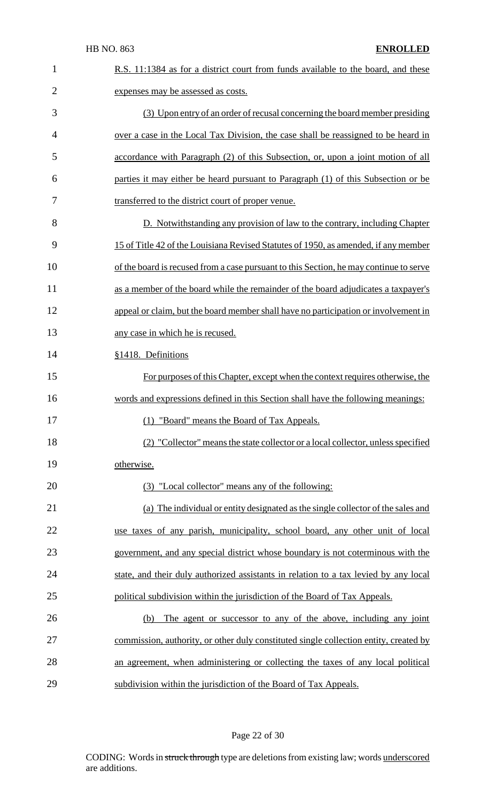| $\mathbf{1}$   | R.S. 11:1384 as for a district court from funds available to the board, and these      |
|----------------|----------------------------------------------------------------------------------------|
| $\overline{2}$ | expenses may be assessed as costs.                                                     |
| 3              | (3) Upon entry of an order of recusal concerning the board member presiding            |
| $\overline{4}$ | over a case in the Local Tax Division, the case shall be reassigned to be heard in     |
| 5              | accordance with Paragraph (2) of this Subsection, or, upon a joint motion of all       |
| 6              | parties it may either be heard pursuant to Paragraph (1) of this Subsection or be      |
| 7              | transferred to the district court of proper venue.                                     |
| 8              | D. Notwithstanding any provision of law to the contrary, including Chapter             |
| 9              | 15 of Title 42 of the Louisiana Revised Statutes of 1950, as amended, if any member    |
| 10             | of the board is recused from a case pursuant to this Section, he may continue to serve |
| 11             | as a member of the board while the remainder of the board adjudicates a taxpayer's     |
| 12             | appeal or claim, but the board member shall have no participation or involvement in    |
| 13             | any case in which he is recused.                                                       |
| 14             | §1418. Definitions                                                                     |
| 15             | For purposes of this Chapter, except when the context requires otherwise, the          |
| 16             | words and expressions defined in this Section shall have the following meanings:       |
| 17             | (1) "Board" means the Board of Tax Appeals.                                            |
| 18             | (2) "Collector" means the state collector or a local collector, unless specified       |
| 19             | otherwise.                                                                             |
| 20             | (3) "Local collector" means any of the following:                                      |
| 21             | (a) The individual or entity designated as the single collector of the sales and       |
| 22             | use taxes of any parish, municipality, school board, any other unit of local           |
| 23             | government, and any special district whose boundary is not coterminous with the        |
| 24             | state, and their duly authorized assistants in relation to a tax levied by any local   |
| 25             | political subdivision within the jurisdiction of the Board of Tax Appeals.             |
| 26             | The agent or successor to any of the above, including any joint<br>(b)                 |
| 27             | commission, authority, or other duly constituted single collection entity, created by  |
| 28             | an agreement, when administering or collecting the taxes of any local political        |
| 29             | subdivision within the jurisdiction of the Board of Tax Appeals.                       |

# Page 22 of 30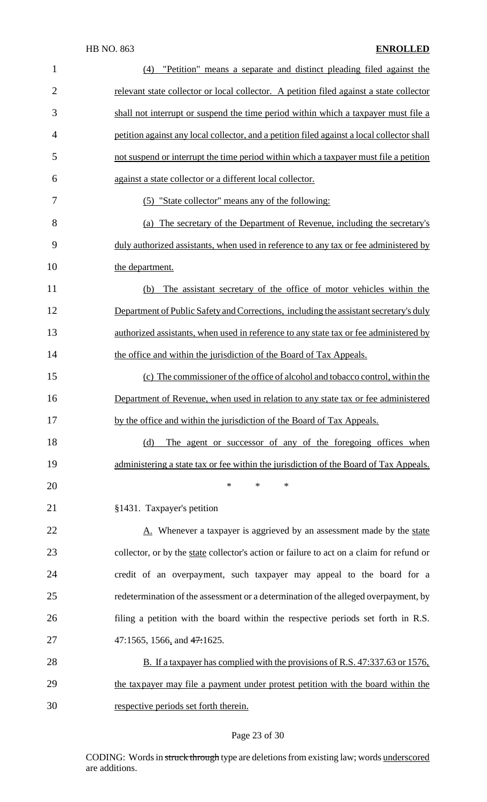| $\mathbf{1}$   | "Petition" means a separate and distinct pleading filed against the<br>(4)                 |
|----------------|--------------------------------------------------------------------------------------------|
| $\overline{2}$ | relevant state collector or local collector. A petition filed against a state collector    |
| 3              | shall not interrupt or suspend the time period within which a taxpayer must file a         |
| 4              | petition against any local collector, and a petition filed against a local collector shall |
| 5              | not suspend or interrupt the time period within which a taxpayer must file a petition      |
| 6              | against a state collector or a different local collector.                                  |
| 7              | (5) "State collector" means any of the following:                                          |
| 8              | (a) The secretary of the Department of Revenue, including the secretary's                  |
| 9              | duly authorized assistants, when used in reference to any tax or fee administered by       |
| 10             | the department.                                                                            |
| 11             | The assistant secretary of the office of motor vehicles within the<br>(b)                  |
| 12             | Department of Public Safety and Corrections, including the assistant secretary's duly      |
| 13             | authorized assistants, when used in reference to any state tax or fee administered by      |
| 14             | the office and within the jurisdiction of the Board of Tax Appeals.                        |
| 15             | (c) The commissioner of the office of alcohol and tobacco control, within the              |
| 16             | Department of Revenue, when used in relation to any state tax or fee administered          |
| 17             | by the office and within the jurisdiction of the Board of Tax Appeals.                     |
| 18             | The agent or successor of any of the foregoing offices when<br>(d)                         |
| 19             | administering a state tax or fee within the jurisdiction of the Board of Tax Appeals.      |
| 20             | ∗<br>*<br>∗                                                                                |
| 21             | §1431. Taxpayer's petition                                                                 |
| 22             | A. Whenever a taxpayer is aggrieved by an assessment made by the state                     |
| 23             | collector, or by the state collector's action or failure to act on a claim for refund or   |
| 24             | credit of an overpayment, such taxpayer may appeal to the board for a                      |
| 25             | redetermination of the assessment or a determination of the alleged overpayment, by        |
| 26             | filing a petition with the board within the respective periods set forth in R.S.           |
| 27             | 47:1565, 1566, and $47:1625$ .                                                             |
| 28             | B. If a taxpayer has complied with the provisions of R.S. 47:337.63 or 1576,               |
| 29             | the tax payer may file a payment under protest petition with the board within the          |
| 30             | respective periods set forth therein.                                                      |

# Page 23 of 30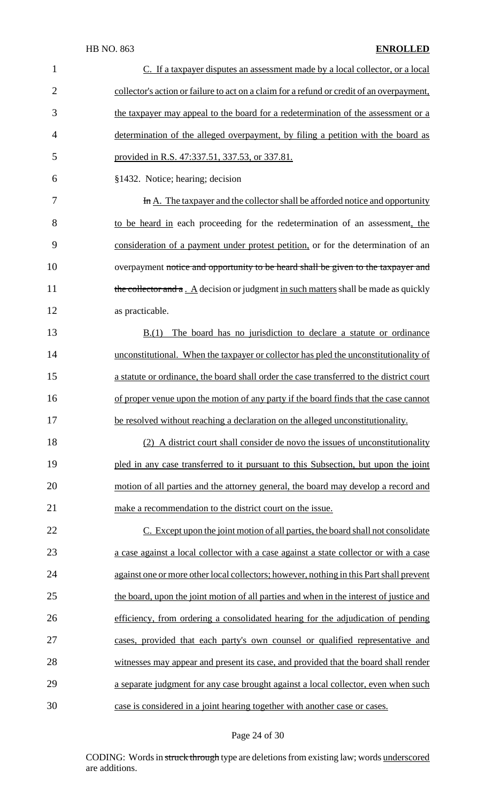| $\mathbf{1}$   | C. If a taxpayer disputes an assessment made by a local collector, or a local               |
|----------------|---------------------------------------------------------------------------------------------|
| $\overline{2}$ | collector's action or failure to act on a claim for a refund or credit of an overpayment,   |
| 3              | the taxpayer may appeal to the board for a redetermination of the assessment or a           |
| $\overline{4}$ | determination of the alleged overpayment, by filing a petition with the board as            |
| 5              | provided in R.S. 47:337.51, 337.53, or 337.81.                                              |
| 6              | §1432. Notice; hearing; decision                                                            |
| 7              | In A. The taxpayer and the collector shall be afforded notice and opportunity               |
| 8              | to be heard in each proceeding for the redetermination of an assessment, the                |
| 9              | consideration of a payment under protest petition, or for the determination of an           |
| 10             | overpayment notice and opportunity to be heard shall be given to the taxpayer and           |
| 11             | the collector and $a \cdot A$ decision or judgment in such matters shall be made as quickly |
| 12             | as practicable.                                                                             |
| 13             | The board has no jurisdiction to declare a statute or ordinance<br>B(1)                     |
| 14             | unconstitutional. When the taxpayer or collector has pled the unconstitutionality of        |
| 15             | a statute or ordinance, the board shall order the case transferred to the district court    |
| 16             | of proper venue upon the motion of any party if the board finds that the case cannot        |
| 17             | be resolved without reaching a declaration on the alleged unconstitutionality.              |
| 18             | (2) A district court shall consider de novo the issues of unconstitutionality               |
| 19             | pled in any case transferred to it pursuant to this Subsection, but upon the joint          |
| 20             | motion of all parties and the attorney general, the board may develop a record and          |
| 21             | make a recommendation to the district court on the issue.                                   |
| 22             | C. Except upon the joint motion of all parties, the board shall not consolidate             |
| 23             | a case against a local collector with a case against a state collector or with a case       |
| 24             | against one or more other local collectors; however, nothing in this Part shall prevent     |
| 25             | the board, upon the joint motion of all parties and when in the interest of justice and     |
| 26             | efficiency, from ordering a consolidated hearing for the adjudication of pending            |
| 27             | cases, provided that each party's own counsel or qualified representative and               |
| 28             | witnesses may appear and present its case, and provided that the board shall render         |
| 29             | a separate judgment for any case brought against a local collector, even when such          |
| 30             | case is considered in a joint hearing together with another case or cases.                  |

# Page 24 of 30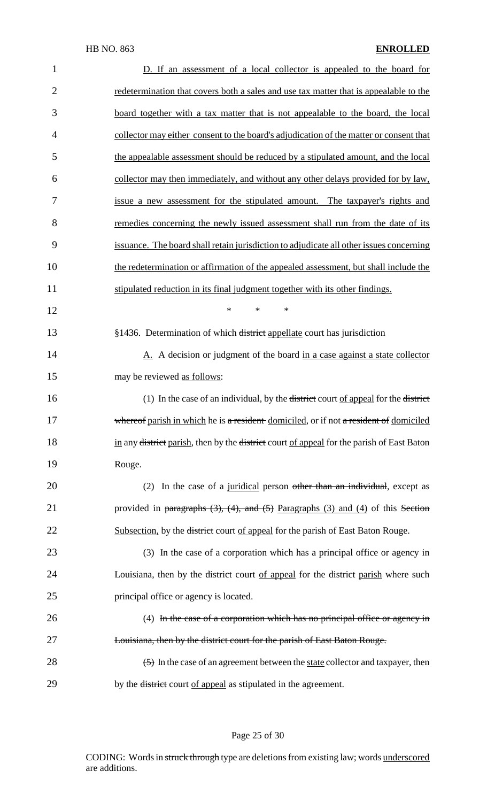| $\mathbf{1}$   | D. If an assessment of a local collector is appealed to the board for                                           |
|----------------|-----------------------------------------------------------------------------------------------------------------|
| $\overline{2}$ | redetermination that covers both a sales and use tax matter that is appealable to the                           |
| 3              | board together with a tax matter that is not appealable to the board, the local                                 |
| $\overline{4}$ | collector may either consent to the board's adjudication of the matter or consent that                          |
| 5              | the appealable assessment should be reduced by a stipulated amount, and the local                               |
| 6              | collector may then immediately, and without any other delays provided for by law,                               |
| 7              | issue a new assessment for the stipulated amount. The taxpayer's rights and                                     |
| 8              | remedies concerning the newly issued assessment shall run from the date of its                                  |
| 9              | issuance. The board shall retain jurisdiction to adjudicate all other issues concerning                         |
| 10             | the redetermination or affirmation of the appealed assessment, but shall include the                            |
| 11             | stipulated reduction in its final judgment together with its other findings.                                    |
| 12             | $\ast$<br>$\ast$<br>∗                                                                                           |
| 13             | §1436. Determination of which district appellate court has jurisdiction                                         |
| 14             | A. A decision or judgment of the board in a case against a state collector                                      |
| 15             | may be reviewed as follows:                                                                                     |
| 16             | (1) In the case of an individual, by the <del>district</del> court of appeal for the <del>district</del>        |
| 17             | whereof parish in which he is a resident domiciled, or if not a resident of domiciled                           |
| 18             | in any <del>district</del> parish, then by the <del>district</del> court of appeal for the parish of East Baton |
| 19             | Rouge.                                                                                                          |
| 20             | (2) In the case of a juridical person other than an individual, except as                                       |
| 21             | provided in paragraphs $(3)$ , $(4)$ , and $(5)$ Paragraphs $(3)$ and $(4)$ of this Section                     |
| 22             | Subsection, by the <del>district</del> court of appeal for the parish of East Baton Rouge.                      |
| 23             | (3) In the case of a corporation which has a principal office or agency in                                      |
| 24             | Louisiana, then by the <del>district</del> court of appeal for the <del>district</del> parish where such        |
| 25             | principal office or agency is located.                                                                          |
| 26             | (4) In the case of a corporation which has no principal office or agency in                                     |
| 27             | Louisiana, then by the district court for the parish of East Baton Rouge.                                       |
| 28             | $\left( \frac{5}{2} \right)$ In the case of an agreement between the state collector and taxpayer, then         |
| 29             | by the <del>district</del> court of appeal as stipulated in the agreement.                                      |

# Page 25 of 30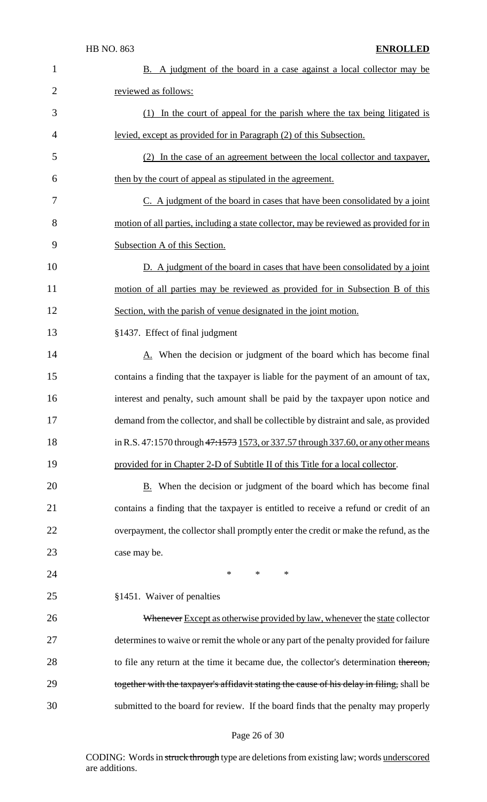| $\mathbf{1}$   | B. A judgment of the board in a case against a local collector may be                     |
|----------------|-------------------------------------------------------------------------------------------|
| $\overline{2}$ | reviewed as follows:                                                                      |
| 3              | (1) In the court of appeal for the parish where the tax being litigated is                |
| $\overline{4}$ | levied, except as provided for in Paragraph (2) of this Subsection.                       |
| 5              | (2) In the case of an agreement between the local collector and taxpayer,                 |
| 6              | then by the court of appeal as stipulated in the agreement.                               |
| 7              | C. A judgment of the board in cases that have been consolidated by a joint                |
| 8              | motion of all parties, including a state collector, may be reviewed as provided for in    |
| 9              | Subsection A of this Section.                                                             |
| 10             | D. A judgment of the board in cases that have been consolidated by a joint                |
| 11             | motion of all parties may be reviewed as provided for in Subsection B of this             |
| 12             | Section, with the parish of venue designated in the joint motion.                         |
| 13             | §1437. Effect of final judgment                                                           |
| 14             | A. When the decision or judgment of the board which has become final                      |
| 15             | contains a finding that the taxpayer is liable for the payment of an amount of tax,       |
| 16             | interest and penalty, such amount shall be paid by the taxpayer upon notice and           |
| 17             | demand from the collector, and shall be collectible by distraint and sale, as provided    |
| 18             | in R.S. 47:1570 through 47:1573 1573, or 337.57 through 337.60, or any other means        |
| 19             | provided for in Chapter 2-D of Subtitle II of this Title for a local collector.           |
| 20             | B. When the decision or judgment of the board which has become final                      |
| 21             | contains a finding that the taxpayer is entitled to receive a refund or credit of an      |
| 22             | overpayment, the collector shall promptly enter the credit or make the refund, as the     |
| 23             | case may be.                                                                              |
| 24             | $\ast$<br>*<br>$\ast$                                                                     |
| 25             | §1451. Waiver of penalties                                                                |
| 26             | Whenever Except as otherwise provided by law, whenever the state collector                |
| 27             | determines to waive or remit the whole or any part of the penalty provided for failure    |
| 28             | to file any return at the time it became due, the collector's determination thereon,      |
| 29             | together with the taxpayer's affidavit stating the cause of his delay in filing, shall be |
| 30             | submitted to the board for review. If the board finds that the penalty may properly       |

# Page 26 of 30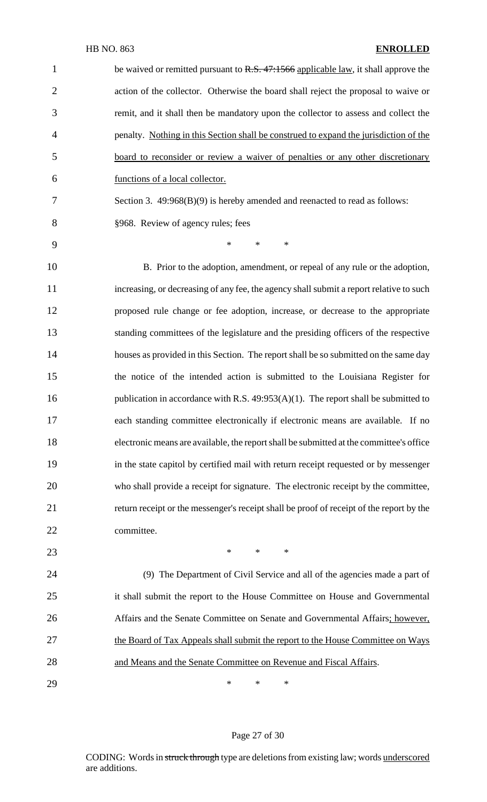| $\mathbf{1}$             | be waived or remitted pursuant to R.S. 47:1566 applicable law, it shall approve the      |
|--------------------------|------------------------------------------------------------------------------------------|
| $\overline{2}$           | action of the collector. Otherwise the board shall reject the proposal to waive or       |
| 3                        | remit, and it shall then be mandatory upon the collector to assess and collect the       |
| $\overline{\mathcal{A}}$ | penalty. Nothing in this Section shall be construed to expand the jurisdiction of the    |
| 5                        | board to reconsider or review a waiver of penalties or any other discretionary           |
| 6                        | functions of a local collector.                                                          |
| 7                        | Section 3. 49:968(B)(9) is hereby amended and reenacted to read as follows:              |
| 8                        | §968. Review of agency rules; fees                                                       |
| 9                        | $\ast$<br>$*$<br>$\ast$                                                                  |
| 10                       | B. Prior to the adoption, amendment, or repeal of any rule or the adoption,              |
| 11                       | increasing, or decreasing of any fee, the agency shall submit a report relative to such  |
| 12                       | proposed rule change or fee adoption, increase, or decrease to the appropriate           |
| 13                       | standing committees of the legislature and the presiding officers of the respective      |
| 14                       | houses as provided in this Section. The report shall be so submitted on the same day     |
| 15                       | the notice of the intended action is submitted to the Louisiana Register for             |
| 16                       | publication in accordance with R.S. $49:953(A)(1)$ . The report shall be submitted to    |
| 17                       | each standing committee electronically if electronic means are available. If no          |
| 18                       | electronic means are available, the report shall be submitted at the committee's office  |
| 19                       | in the state capitol by certified mail with return receipt requested or by messenger     |
| 20                       | who shall provide a receipt for signature. The electronic receipt by the committee,      |
| 21                       | return receipt or the messenger's receipt shall be proof of receipt of the report by the |
| 22                       | committee.                                                                               |
| 23                       | $*$<br>$*$<br>$\ast$                                                                     |
| 24                       | (9) The Department of Civil Service and all of the agencies made a part of               |
| 25                       | it shall submit the report to the House Committee on House and Governmental              |
| 26                       | Affairs and the Senate Committee on Senate and Governmental Affairs; however,            |
| 27                       | the Board of Tax Appeals shall submit the report to the House Committee on Ways          |
| 28                       | and Means and the Senate Committee on Revenue and Fiscal Affairs.                        |
| 29                       | ∗<br>*<br>∗                                                                              |

# Page 27 of 30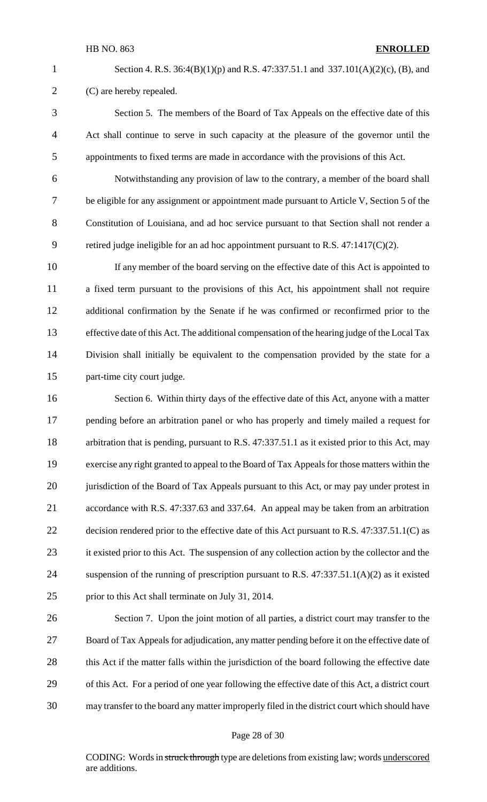Section 4. R.S. 36:4(B)(1)(p) and R.S. 47:337.51.1 and 337.101(A)(2)(c), (B), and (C) are hereby repealed.

 Section 5. The members of the Board of Tax Appeals on the effective date of this Act shall continue to serve in such capacity at the pleasure of the governor until the appointments to fixed terms are made in accordance with the provisions of this Act.

 Notwithstanding any provision of law to the contrary, a member of the board shall be eligible for any assignment or appointment made pursuant to Article V, Section 5 of the Constitution of Louisiana, and ad hoc service pursuant to that Section shall not render a retired judge ineligible for an ad hoc appointment pursuant to R.S. 47:1417(C)(2).

 If any member of the board serving on the effective date of this Act is appointed to a fixed term pursuant to the provisions of this Act, his appointment shall not require additional confirmation by the Senate if he was confirmed or reconfirmed prior to the effective date of this Act. The additional compensation of the hearing judge of the Local Tax Division shall initially be equivalent to the compensation provided by the state for a part-time city court judge.

 Section 6. Within thirty days of the effective date of this Act, anyone with a matter pending before an arbitration panel or who has properly and timely mailed a request for arbitration that is pending, pursuant to R.S. 47:337.51.1 as it existed prior to this Act, may 19 exercise any right granted to appeal to the Board of Tax Appeals for those matters within the 20 jurisdiction of the Board of Tax Appeals pursuant to this Act, or may pay under protest in accordance with R.S. 47:337.63 and 337.64. An appeal may be taken from an arbitration 22 decision rendered prior to the effective date of this Act pursuant to R.S. 47:337.51.1(C) as 23 it existed prior to this Act. The suspension of any collection action by the collector and the suspension of the running of prescription pursuant to R.S. 47:337.51.1(A)(2) as it existed prior to this Act shall terminate on July 31, 2014.

 Section 7. Upon the joint motion of all parties, a district court may transfer to the Board of Tax Appeals for adjudication, any matter pending before it on the effective date of 28 this Act if the matter falls within the jurisdiction of the board following the effective date of this Act. For a period of one year following the effective date of this Act, a district court may transfer to the board any matter improperly filed in the district court which should have

#### Page 28 of 30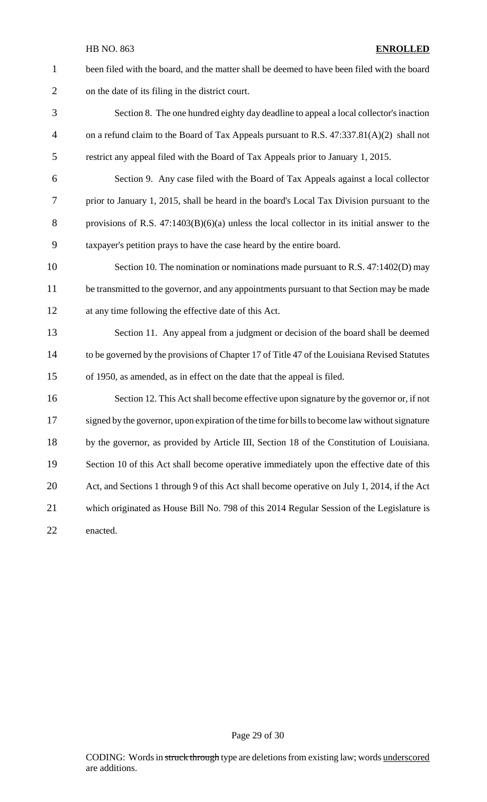been filed with the board, and the matter shall be deemed to have been filed with the board on the date of its filing in the district court.

- Section 8. The one hundred eighty day deadline to appeal a local collector's inaction on a refund claim to the Board of Tax Appeals pursuant to R.S. 47:337.81(A)(2) shall not restrict any appeal filed with the Board of Tax Appeals prior to January 1, 2015.
- Section 9. Any case filed with the Board of Tax Appeals against a local collector prior to January 1, 2015, shall be heard in the board's Local Tax Division pursuant to the 8 provisions of R.S. 47:1403(B)(6)(a) unless the local collector in its initial answer to the taxpayer's petition prays to have the case heard by the entire board.
- 10 Section 10. The nomination or nominations made pursuant to R.S. 47:1402(D) may 11 be transmitted to the governor, and any appointments pursuant to that Section may be made at any time following the effective date of this Act.
- Section 11. Any appeal from a judgment or decision of the board shall be deemed to be governed by the provisions of Chapter 17 of Title 47 of the Louisiana Revised Statutes of 1950, as amended, as in effect on the date that the appeal is filed.
- Section 12. This Actshall become effective upon signature by the governor or, if not 17 signed by the governor, upon expiration of the time for bills to become law without signature by the governor, as provided by Article III, Section 18 of the Constitution of Louisiana. 19 Section 10 of this Act shall become operative immediately upon the effective date of this Act, and Sections 1 through 9 of this Act shall become operative on July 1, 2014, if the Act which originated as House Bill No. 798 of this 2014 Regular Session of the Legislature is enacted.